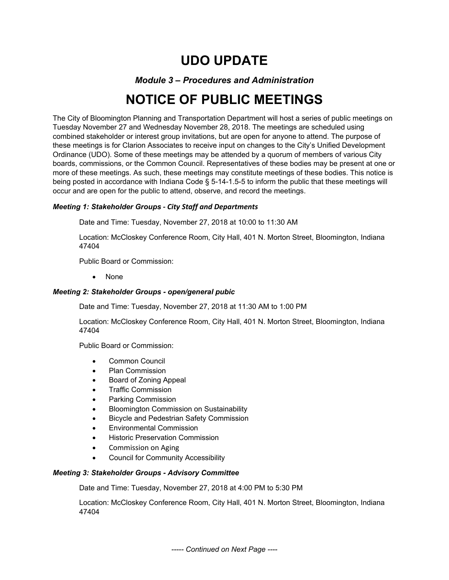# **UDO UPDATE**

# *Module 3 – Procedures and Administration*

# **NOTICE OF PUBLIC MEETINGS**

The City of Bloomington Planning and Transportation Department will host a series of public meetings on Tuesday November 27 and Wednesday November 28, 2018. The meetings are scheduled using combined stakeholder or interest group invitations, but are open for anyone to attend. The purpose of these meetings is for Clarion Associates to receive input on changes to the City's Unified Development Ordinance (UDO). Some of these meetings may be attended by a quorum of members of various City boards, commissions, or the Common Council. Representatives of these bodies may be present at one or more of these meetings. As such, these meetings may constitute meetings of these bodies. This notice is being posted in accordance with Indiana Code § 5-14-1.5-5 to inform the public that these meetings will occur and are open for the public to attend, observe, and record the meetings.

# *Meeting 1: Stakeholder Groups ‐ City Staff and Departments*

Date and Time: Tuesday, November 27, 2018 at 10:00 to 11:30 AM

Location: McCloskey Conference Room, City Hall, 401 N. Morton Street, Bloomington, Indiana 47404

Public Board or Commission:

None

#### *Meeting 2: Stakeholder Groups - open/general pubic*

Date and Time: Tuesday, November 27, 2018 at 11:30 AM to 1:00 PM

Location: McCloskey Conference Room, City Hall, 401 N. Morton Street, Bloomington, Indiana 47404

Public Board or Commission:

- Common Council
- Plan Commission
- Board of Zoning Appeal
- Traffic Commission
- Parking Commission
- Bloomington Commission on Sustainability
- Bicycle and Pedestrian Safety Commission
- Environmental Commission
- Historic Preservation Commission
- Commission on Aging
- Council for Community Accessibility

#### *Meeting 3: Stakeholder Groups - Advisory Committee*

Date and Time: Tuesday, November 27, 2018 at 4:00 PM to 5:30 PM

Location: McCloskey Conference Room, City Hall, 401 N. Morton Street, Bloomington, Indiana 47404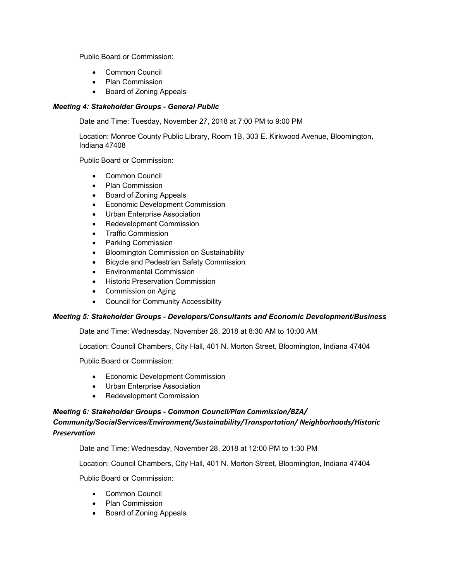Public Board or Commission:

- Common Council
- Plan Commission
- Board of Zoning Appeals

### *Meeting 4: Stakeholder Groups - General Public*

Date and Time: Tuesday, November 27, 2018 at 7:00 PM to 9:00 PM

Location: Monroe County Public Library, Room 1B, 303 E. Kirkwood Avenue, Bloomington, Indiana 47408

Public Board or Commission:

- Common Council
- Plan Commission
- Board of Zoning Appeals
- **•** Economic Development Commission
- Urban Enterprise Association
- Redevelopment Commission
- Traffic Commission
- Parking Commission
- **•** Bloomington Commission on Sustainability
- **•** Bicycle and Pedestrian Safety Commission
- Environmental Commission
- **•** Historic Preservation Commission
- Commission on Aging
- Council for Community Accessibility

# *Meeting 5: Stakeholder Groups - Developers/Consultants and Economic Development/Business*

Date and Time: Wednesday, November 28, 2018 at 8:30 AM to 10:00 AM

Location: Council Chambers, City Hall, 401 N. Morton Street, Bloomington, Indiana 47404

Public Board or Commission:

- Economic Development Commission
- Urban Enterprise Association
- Redevelopment Commission

# *Meeting 6: Stakeholder Groups - Common Council/Plan Commission/BZA/*

# *Community/SocialServices/Environment/Sustainability/Transportation/ Neighborhoods/Historic Preservation*

Date and Time: Wednesday, November 28, 2018 at 12:00 PM to 1:30 PM

Location: Council Chambers, City Hall, 401 N. Morton Street, Bloomington, Indiana 47404

Public Board or Commission:

- Common Council
- Plan Commission
- Board of Zoning Appeals